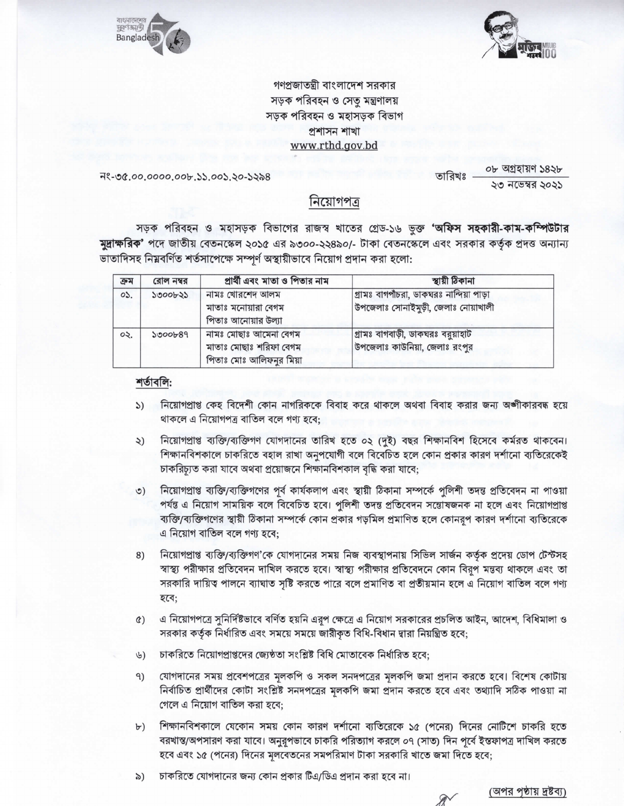



গণপ্রজাতন্ত্রী বাংলাদেশ সরকার সড়ক পরিবহন ও সেতু মন্ত্রণালয় সড়ক পরিবহন ও মহাসড়ক বিভাগ প্ৰশাসন শাখা www.rthd.gov.bd

নং-৩৫.০০.০০০০.০০৮.১১.০০১.২০-১২৯৪

০৮ অগ্ৰহায়ণ ১৪২৮ তারিখঃ ২৩ নভেম্বর ২০২১

## নিয়োগপত্ৰ

সড়ক পরিবহন ও মহাসড়ক বিভাগের রাজস্ব খাতের গ্রেড-১৬ ভুক্ত **'অফিস সহকারী-কাম-কম্পিউটার মুদ্রাক্ষরিক'** পদে জাতীয় বেতনস্কেল ২০১৫ এর ৯৩০০-২২৪৯০/- টাকা বেতনস্কেলে এবং সরকার কর্তৃক প্রদত্ত অন্যান্য ভাতাদিসহ নিম্নবর্ণিত শর্তসাপেক্ষে সম্পূর্ণ অস্থায়ীভাবে নিয়োগ প্রদান করা হলো:

| ক্ৰম | রোল নম্বর | প্রার্থী এবং মাতা ও পিতার নাম                                              | স্থায়ী ঠিকানা                                                                  |
|------|-----------|----------------------------------------------------------------------------|---------------------------------------------------------------------------------|
| OS.  | 5000635   | নামঃ খোরশেদ আলম<br>মাতাঃ মনোয়ারা বেগম<br>পিতাঃ আনোয়ার উল্যা              | গ্রামঃ বাগপাঁচরা, ডাকঘরঃ নান্দিয়া পাড়া<br>উপজেলাঃ সোনাইমুড়ী, জেলাঃ নোয়াখালী |
| ০২.  | 5000b89   | নামঃ মোছাঃ আমেনা বেগম<br>মাতাঃ মোছাঃ শরিফা বেগম<br>পিতাঃ মোঃ আলিফনুর মিয়া | গ্রামঃ বাগবাড়ী, ডাকঘরঃ বরুয়াহাট<br>উপজেলাঃ কাউনিয়া, জেলাঃ রংপুর              |

## শৰ্তাবলি:

- নিয়োগপ্রাপ্ত কেহ বিদেশী কোন নাগরিককে বিবাহ করে থাকলে অথবা বিবাহ করার জন্য অঙ্গীকারবদ্ধ হয়ে  $\mathcal{L}$ থাকলে এ নিয়োগপত্র বাতিল বলে গণ্য হবে:
- নিয়োগপ্রাপ্ত ব্যক্তি/ব্যক্তিগণ যোগদানের তারিখ হতে ০২ (দুই) বছর শিক্ষানবিশ হিসেবে কর্মরত থাকবেন। ২) শিক্ষানবিশকালে চাকরিতে বহাল রাখা অনুপযোগী বলে বিবেচিত হলে কোন প্রকার কারণ দর্শানো ব্যতিরেকেই চাকরিচ্যূত করা যাবে অথবা প্রয়োজনে শিক্ষানবিশকাল বৃদ্ধি করা যাবে;
- নিয়োগপ্রাপ্ত ব্যক্তি/ব্যক্তিগণের পূর্ব কার্যকলাপ এবং স্থায়ী ঠিকানা সম্পর্কে পুলিশী তদন্ত প্রতিবেদন না পাওয়া  $\circ$ ) পর্যন্ত এ নিয়োগ সাময়িক বলে বিবেচিত হবে। পুলিশী তদন্ত প্রতিবেদন সন্তোষজনক না হলে এবং নিয়োগপ্রাপ্ত ব্যক্তি/ব্যক্তিগণের স্থায়ী ঠিকানা সম্পর্কে কোন প্রকার গড়মিল প্রমাণিত হলে কোনরপ কারণ দর্শানো ব্যতিরেকে এ নিয়োগ বাতিল বলে গণ্য হবে:
- নিয়োগপ্রাপ্ত ব্যক্তি/ব্যক্তিগণ'কে যোগদানের সময় নিজ ব্যবস্থাপনায় সিভিল সার্জন কর্তৃক প্রদেয় ডোপ টেস্টসহ 8) স্বাস্থ্য পরীক্ষার প্রতিবেদন দাখিল করতে হবে। স্বাস্থ্য পরীক্ষার প্রতিবেদনে কোন বিরূপ মন্তব্য থাকলে এবং তা সরকারি দায়িত্ব পালনে ব্যাঘাত সৃষ্টি করতে পারে বলে প্রমাণিত বা প্রতীয়মান হলে এ নিয়োগ বাতিল বলে গণ্য হবে;
- এ নিয়োগপত্রে সুনির্দিষ্টভাবে বর্ণিত হয়নি এরূপ ক্ষেত্রে এ নিয়োগ সরকারের প্রচলিত আইন, আদেশ, বিধিমালা ও  $\circ$ ) সরকার কর্তৃক নির্ধারিত এবং সময়ে সময়ে জারীকৃত বিধি-বিধান দ্বারা নিয়ন্ত্রিত হবে;
- চাকরিতে নিয়োগপ্রাপ্তদের জ্যেষ্ঠতা সংশ্লিষ্ট বিধি মোতাবেক নির্ধারিত হবে;  $\mathcal{G}$
- যোগদানের সময় প্রবেশপত্রের মূলকপি ও সকল সনদপত্রের মূলকপি জমা প্রদান করতে হবে। বিশেষ কোটায় 9) নির্বাচিত প্রার্থীদের কোটা সংশ্লিষ্ট সনদপত্রের মূলকপি জমা প্রদান করতে হবে এবং তথ্যাদি সঠিক পাওয়া না গেলে এ নিয়োগ বাতিল করা হবে:
- শিক্ষানবিশকালে যেকোন সময় কোন কারণ দর্শানো ব্যতিরেকে ১৫ (পনের) দিনের নোটিশে চাকরি হতে  $\forall$ বরখান্ত/অপসারণ করা যাবে। অনুরূপভাবে চাকরি পরিত্যাগ করলে ০৭ (সাত) দিন পূর্বে ইন্তফাপত্র দাখিল করতে হবে এবং ১৫ (পনের) দিনের মূলবেতনের সমপরিমাণ টাকা সরকারি খাতে জমা দিতে হবে;
- চাকরিতে যোগদানের জন্য কোন প্রকার টিএ/ডিএ প্রদান করা হবে না। ৯)